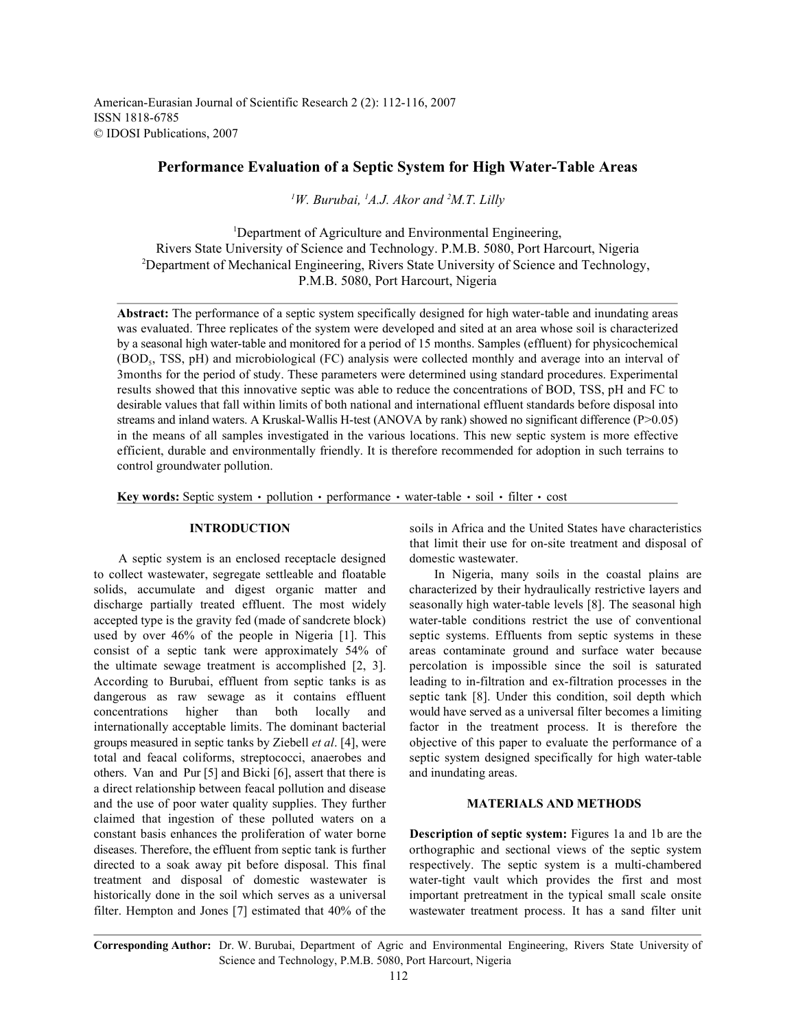American-Eurasian Journal of Scientific Research 2 (2): 112-116, 2007 ISSN 1818-6785 © IDOSI Publications, 2007

# **Performance Evaluation of a Septic System for High Water-Table Areas**

<sup>1</sup>W. Burubai, <sup>1</sup>A.J. Akor and <sup>2</sup>M.T. Lilly

<sup>1</sup>Department of Agriculture and Environmental Engineering, Rivers State University of Science and Technology. P.M.B. 5080, Port Harcourt, Nigeria <sup>2</sup>Department of Mechanical Engineering, Rivers State University of Science and Technology, P.M.B. 5080, Port Harcourt, Nigeria

Abstract: The performance of a septic system specifically designed for high water-table and inundating areas was evaluated. Three replicates of the system were developed and sited at an area whose soil is characterized by a seasonal high water-table and monitored for a period of 15 months. Samples (effluent) for physicochemical (BOD<sub>5</sub>, TSS, pH) and microbiological (FC) analysis were collected monthly and average into an interval of 3months for the period of study. These parameters were determined using standard procedures. Experimental results showed that this innovative septic was able to reduce the concentrations of BOD, TSS, pH and FC to desirable values that fall within limits of both national and international effluent standards before disposal into streams and inland waters. A Kruskal-Wallis H-test (ANOVA by rank) showed no significant difference (P>0.05) in the means of all samples investigated in the various locations. This new septic system is more effective efficient, durable and environmentally friendly. It is therefore recommended for adoption in such terrains to control groundwater pollution.

**Key words:** Septic system  $\cdot$  pollution  $\cdot$  performance  $\cdot$  water-table  $\cdot$  soil  $\cdot$  filter  $\cdot$  cost

A septic system is an enclosed receptacle designed domestic wastewater. to collect wastewater, segregate settleable and floatable In Nigeria, many soils in the coastal plains are solids, accumulate and digest organic matter and characterized by their hydraulically restrictive layers and discharge partially treated effluent. The most widely seasonally high water-table levels [8]. The seasonal high accepted type is the gravity fed (made of sandcrete block) water-table conditions restrict the use of conventional used by over 46% of the people in Nigeria [1]. This septic systems. Effluents from septic systems in these consist of a septic tank were approximately 54% of areas contaminate ground and surface water because the ultimate sewage treatment is accomplished [2, 3]. percolation is impossible since the soil is saturated According to Burubai, effluent from septic tanks is as leading to in-filtration and ex-filtration processes in the dangerous as raw sewage as it contains effluent septic tank [8]. Under this condition, soil depth which concentrations higher than both locally and would have served as a universal filter becomes a limiting internationally acceptable limits. The dominant bacterial factor in the treatment process. It is therefore the internationally acceptable limits. The dominant bacterial groups measured in septic tanks by Ziebell *et al*. [4], were objective of this paper to evaluate the performance of a total and feacal coliforms, streptococci, anaerobes and septic system designed specifically for high water-table others. Van and Pur [5] and Bicki [6], assert that there is and inundating areas. a direct relationship between feacal pollution and disease and the use of poor water quality supplies. They further **MATERIALS AND METHODS**  claimed that ingestion of these polluted waters on a constant basis enhances the proliferation of water borne **Description of septic system:** Figures 1a and 1b are the diseases. Therefore, the effluent from septic tank is further orthographic and sectional views of the septic system directed to a soak away pit before disposal. This final respectively. The septic system is a multi-chambered treatment and disposal of domestic wastewater is water-tight vault which provides the first and most historically done in the soil which serves as a universal important pretreatment in the typical small scale onsite filter. Hempton and Jones [7] estimated that 40% of the wastewater treatment process. It has a sand filter unit

**INTRODUCTION** soils in Africa and the United States have characteristics that limit their use for on-site treatment and disposal of

**Corresponding Author:** Dr. W. Burubai, Department of Agric and Environmental Engineering, Rivers State University of Science and Technology, P.M.B. 5080, Port Harcourt, Nigeria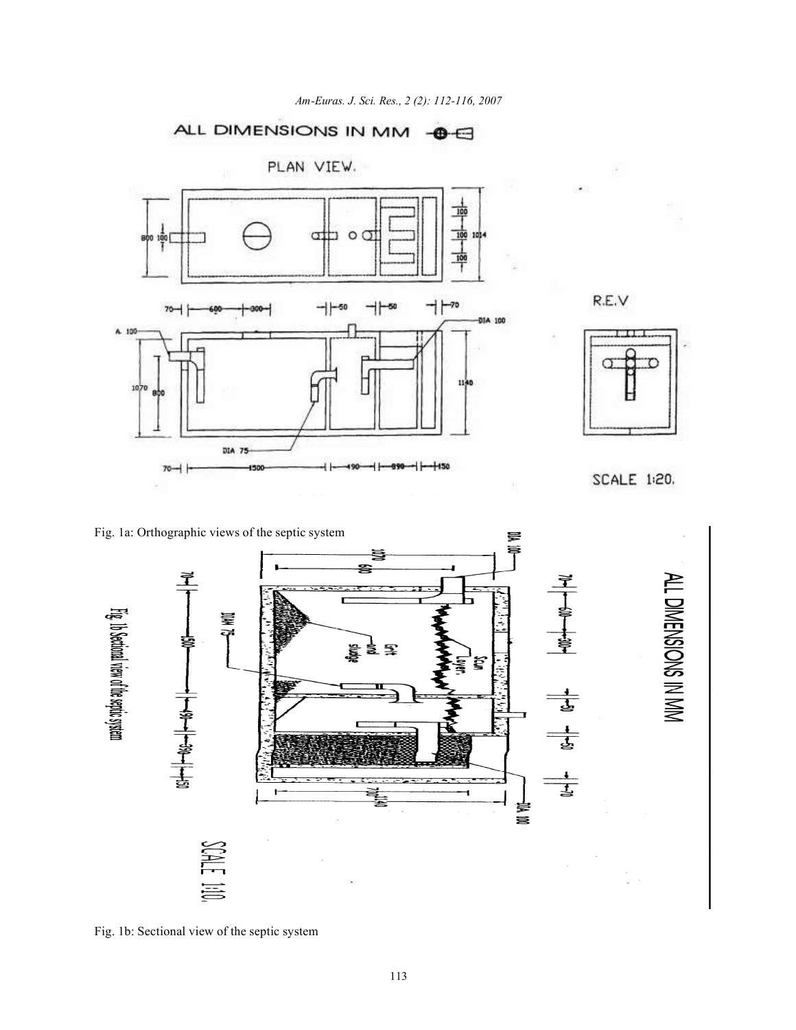







SCALE 1:20.





Fig. 1b: Sectional view of the septic system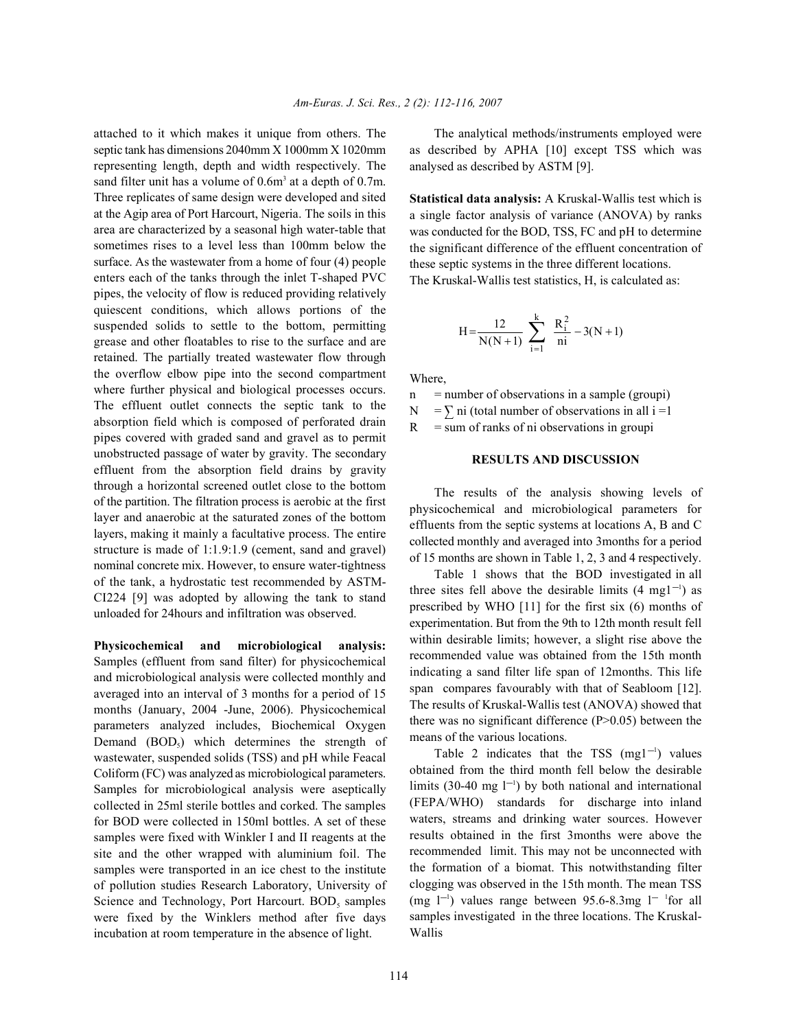septic tank has dimensions 2040mm X 1000mm X 1020mm representing length, depth and width respectively. The sand filter unit has a volume of  $0.6m<sup>3</sup>$  at a depth of  $0.7m$ . Three replicates of same design were developed and sited at the Agip area of Port Harcourt, Nigeria. The soils in this area are characterized by a seasonal high water-table that sometimes rises to a level less than 100mm below the surface. As the wastewater from a home of four (4) people enters each of the tanks through the inlet T-shaped PVC pipes, the velocity of flow is reduced providing relatively quiescent conditions, which allows portions of the suspended solids to settle to the bottom, permitting grease and other floatables to rise to the surface and are retained. The partially treated wastewater flow through the overflow elbow pipe into the second compartment where further physical and biological processes occurs. The effluent outlet connects the septic tank to the absorption field which is composed of perforated drain pipes covered with graded sand and gravel as to permit unobstructed passage of water by gravity. The secondary effluent from the absorption field drains by gravity through a horizontal screened outlet close to the bottom of the partition. The filtration process is aerobic at the first layer and anaerobic at the saturated zones of the bottom layers, making it mainly a facultative process. The entire structure is made of 1:1.9:1.9 (cement, sand and gravel) nominal concrete mix. However, to ensure water-tightness of the tank, a hydrostatic test recommended by ASTM-CI224 [9] was adopted by allowing the tank to stand unloaded for 24hours and infiltration was observed.

**Physicochemical and microbiological analysis:** Samples (effluent from sand filter) for physicochemical and microbiological analysis were collected monthly and averaged into an interval of 3 months for a period of 15 months (January, 2004 -June, 2006). Physicochemical parameters analyzed includes, Biochemical Oxygen Demand  $(BOD<sub>s</sub>)$  which determines the strength of wastewater, suspended solids (TSS) and pH while Feacal Coliform (FC) was analyzed as microbiological parameters. Samples for microbiological analysis were aseptically collected in 25ml sterile bottles and corked. The samples for BOD were collected in 150ml bottles. A set of these samples were fixed with Winkler I and II reagents at the site and the other wrapped with aluminium foil. The samples were transported in an ice chest to the institute of pollution studies Research Laboratory, University of Science and Technology, Port Harcourt. BOD, samples were fixed by the Winklers method after five days incubation at room temperature in the absence of light.

attached to it which makes it unique from others. The The analytical methods/instruments employed were as described by APHA [10] except TSS which was analysed as described by ASTM [9].

> **Statistical data analysis:** A Kruskal-Wallis test which is a single factor analysis of variance (ANOVA) by ranks was conducted for the BOD, TSS, FC and pH to determine the significant difference of the effluent concentration of these septic systems in the three different locations. The Kruskal-Wallis test statistics, H, is calculated as:

$$
H = \frac{12}{N(N+1)} \sum_{i=1}^{k} \frac{R_i^2}{ni} - 3(N+1)
$$

Where,

 $=$  number of observations in a sample (groupi)

 $N = \sum$  ni (total number of observations in all i =1

 $R = sum of ranks of ni observations in groupi$ 

## **RESULTS AND DISCUSSION**

The results of the analysis showing levels of physicochemical and microbiological parameters for effluents from the septic systems at locations A, B and C collected monthly and averaged into 3months for a period of 15 months are shown in Table 1, 2, 3 and 4 respectively.

Table 1 shows that the BOD investigated in all three sites fell above the desirable limits  $(4 \text{ mg}1^{-1})$  as prescribed by WHO [11] for the first six (6) months of experimentation. But from the 9th to 12th month result fell within desirable limits; however, a slight rise above the recommended value was obtained from the 15th month indicating a sand filter life span of 12months. This life span compares favourably with that of Seabloom [12]. The results of Kruskal-Wallis test (ANOVA) showed that there was no significant difference  $(P>0.05)$  between the means of the various locations.

Table 2 indicates that the TSS  $(mg1^{-1})$  values obtained from the third month fell below the desirable limits (30-40 mg  $1^{-1}$ ) by both national and international (FEPA/WHO) standards for discharge into inland waters, streams and drinking water sources. However results obtained in the first 3months were above the recommended limit. This may not be unconnected with the formation of a biomat. This notwithstanding filter clogging was observed in the 15th month. The mean TSS (mg  $1^{-1}$ ) values range between 95.6-8.3mg  $1^{-1}$  for all samples investigated in the three locations. The Kruskal-Wallis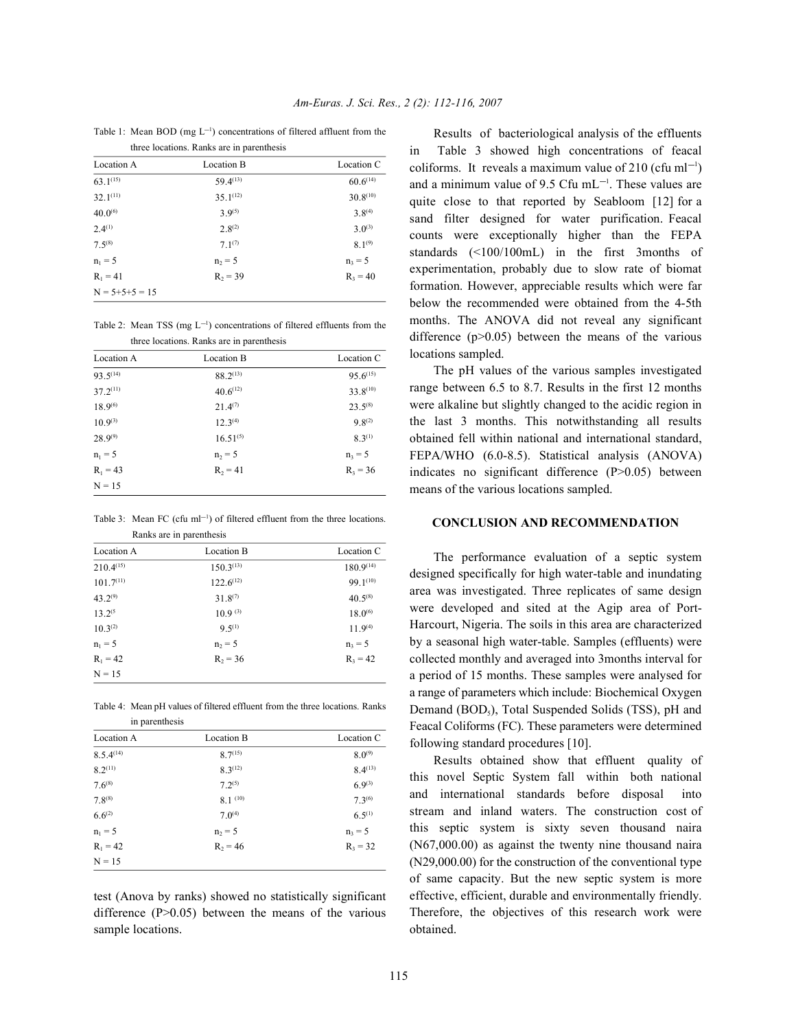Table 1: Mean BOD (mg  $L^{-1}$ ) concentrations of filtered affluent from the

| three locations. Ranks are in parenthesis |               |               |  |  |
|-------------------------------------------|---------------|---------------|--|--|
| Location A                                | Location B    | Location C    |  |  |
| $63.1^{(15)}$                             | $59.4^{(13)}$ | 60.6(14)      |  |  |
| $32.1^{(11)}$                             | $35.1^{(12)}$ | $30.8^{(10)}$ |  |  |
| $40.0^{(6)}$                              | $3.9^{(5)}$   | $3.8^{(4)}$   |  |  |
| $2.4^{(1)}$                               | $2.8^{(2)}$   | $3.0^{(3)}$   |  |  |
| $7.5^{(8)}$                               | $7.1^{(7)}$   | $8.1^{(9)}$   |  |  |
| $n_1 = 5$                                 | $n_2 = 5$     | $n_3 = 5$     |  |  |
| $R_1 = 41$                                | $R_2 = 39$    | $R_3 = 40$    |  |  |
| $N = 5 + 5 + 5 = 15$                      |               |               |  |  |

Table 2: Mean TSS (mg  $L^{-1}$ ) concentrations of filtered effluents from the three locations. Ranks are in parenthesis

| ance rocations. Raines are in parenthesis |               |               |  |  |
|-------------------------------------------|---------------|---------------|--|--|
| Location A                                | Location B    | Location C    |  |  |
| $93.5^{(14)}$                             | $88.2^{(13)}$ | $95.6^{(15)}$ |  |  |
| $37.2^{(11)}$                             | $40.6^{(12)}$ | $33.8^{(10)}$ |  |  |
| $18.9^{(6)}$                              | $21.4^{(7)}$  | $23.5^{(8)}$  |  |  |
| $10.9^{(3)}$                              | $12.3^{(4)}$  | $9.8^{(2)}$   |  |  |
| $28.9^{(9)}$                              | $16.51^{(5)}$ | $8.3^{(1)}$   |  |  |
| $n_1 = 5$                                 | $n_2 = 5$     | $n_3 = 5$     |  |  |
| $R_1 = 43$                                | $R_2 = 41$    | $R_3 = 36$    |  |  |
| $N = 15$                                  |               |               |  |  |

Table 3: Mean FC (cfu m $l^{-1}$ ) of filtered effluent from the three locations. Ranks are in parenthesis

| Location A     | Location B          | Location C     |
|----------------|---------------------|----------------|
| $210.4^{(15)}$ | $150.3^{(13)}$      | $180.9^{(14)}$ |
| 101.7(11)      | $122.6^{(12)}$      | 99.1(10)       |
| $43.2^{(9)}$   | $31.8^{(7)}$        | $40.5^{(8)}$   |
| $13.2^{(5)}$   | 10.9 <sup>(3)</sup> | $18.0^{(6)}$   |
| $10.3^{(2)}$   | $9.5^{(1)}$         | $11.9^{(4)}$   |
| $n_1 = 5$      | $n_2 = 5$           | $n_3 = 5$      |
| $R_1 = 42$     | $R_2 = 36$          | $R_3 = 42$     |
| $N = 15$       |                     |                |

Table 4: Mean pH values of filtered effluent from the three locations. Ranks in parenthesis

| Location A          | Location B   | Location C   |
|---------------------|--------------|--------------|
| $8.5.4^{(14)}$      | $8.7^{(15)}$ | $8.0^{(9)}$  |
| 8.2 <sup>(11)</sup> | $8.3^{(12)}$ | $8.4^{(13)}$ |
| $7.6^{(8)}$         | $7.2^{(5)}$  | $6.9^{(3)}$  |
| $7.8^{(8)}$         | $8.1^{(10)}$ | $7.3^{(6)}$  |
| $6.6^{(2)}$         | $7.0^{(4)}$  | $6.5^{(1)}$  |
| $n_1 = 5$           | $n_2 = 5$    | $n_3 = 5$    |
| $R_1 = 42$          | $R_2 = 46$   | $R_3 = 32$   |
| $N = 15$            |              |              |

test (Anova by ranks) showed no statistically significant difference  $(P>0.05)$  between the means of the various sample locations.

Results of bacteriological analysis of the effluents Table 3 showed high concentrations of feacal coliforms. It reveals a maximum value of 210 (cfu ml<sup>-1</sup>) and a minimum value of 9.5 Cfu  $mL^{-1}$ . These values are quite close to that reported by Seabloom [12] for a sand filter designed for water purification. Feacal counts were exceptionally higher than the FEPA standards (<100/100mL) in the first 3months of experimentation, probably due to slow rate of biomat formation. However, appreciable results which were far below the recommended were obtained from the 4-5th months. The ANOVA did not reveal any significant difference  $(p>0.05)$  between the means of the various locations sampled.

The pH values of the various samples investigated range between 6.5 to 8.7. Results in the first 12 months were alkaline but slightly changed to the acidic region in the last 3 months. This notwithstanding all results obtained fell within national and international standard, FEPA/WHO (6.0-8.5). Statistical analysis (ANOVA) indicates no significant difference (P>0.05) between means of the various locations sampled.

## **CONCLUSION AND RECOMMENDATION**

The performance evaluation of a septic system designed specifically for high water-table and inundating area was investigated. Three replicates of same design were developed and sited at the Agip area of Port-Harcourt, Nigeria. The soils in this area are characterized by a seasonal high water-table. Samples (effluents) were collected monthly and averaged into 3months interval for a period of 15 months. These samples were analysed for a range of parameters which include: Biochemical Oxygen Demand (BOD<sub>5</sub>), Total Suspended Solids (TSS), pH and Feacal Coliforms (FC). These parameters were determined following standard procedures [10].

Results obtained show that effluent quality of this novel Septic System fall within both national and international standards before disposal into stream and inland waters. The construction cost of this septic system is sixty seven thousand naira (N67,000.00) as against the twenty nine thousand naira (N29,000.00) for the construction of the conventional type of same capacity. But the new septic system is more effective, efficient, durable and environmentally friendly. Therefore, the objectives of this research work were obtained.